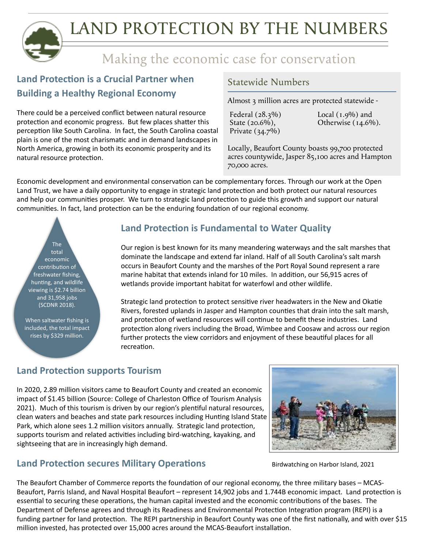

## Making the economic case for conservation

### **Land Protection is a Crucial Partner when Building a Healthy Regional Economy**

There could be a perceived conflict between natural resource protection and economic progress. But few places shatter this perception like South Carolina. In fact, the South Carolina coastal plain is one of the most charismatic and in demand landscapes in North America, growing in both its economic prosperity and its natural resource protection.

#### Statewide Numbers

Almost 3 million acres are protected statewide -

Federal (28.3%) State (20.6%), Private (34.7%)

Local  $(1.9\%)$  and Otherwise (14.6%).

Locally, Beaufort County boasts 99,700 protected acres countywide, Jasper 85,100 acres and Hampton 70,000 acres.

Economic development and environmental conservation can be complementary forces. Through our work at the Open Land Trust, we have a daily opportunity to engage in strategic land protection and both protect our natural resources and help our communities prosper. We turn to strategic land protection to guide this growth and support our natural communities. In fact, land protection can be the enduring foundation of our regional economy.

The total economic contribution of freshwater fishing, hunting, and wildlife viewing is \$2.74 billion and 31,958 jobs (SCDNR 2018).

When saltwater fishing is included, the total impact rises by \$329 million.

#### **Land Protection is Fundamental to Water Quality**

Our region is best known for its many meandering waterways and the salt marshes that dominate the landscape and extend far inland. Half of all South Carolina's salt marsh occurs in Beaufort County and the marshes of the Port Royal Sound represent a rare marine habitat that extends inland for 10 miles. In addition, our 56,915 acres of wetlands provide important habitat for waterfowl and other wildlife.

Strategic land protection to protect sensitive river headwaters in the New and Okatie Rivers, forested uplands in Jasper and Hampton counties that drain into the salt marsh, and protection of wetland resources will continue to benefit these industries. Land protection along rivers including the Broad, Wimbee and Coosaw and across our region further protects the view corridors and enjoyment of these beautiful places for all recreation.

#### **Land Protection supports Tourism**

In 2020, 2.89 million visitors came to Beaufort County and created an economic impact of \$1.45 billion (Source: College of Charleston Office of Tourism Analysis 2021). Much of this tourism is driven by our region's plentiful natural resources, clean waters and beaches and state park resources including Hunting Island State Park, which alone sees 1.2 million visitors annually. Strategic land protection, supports tourism and related activities including bird-watching, kayaking, and sightseeing that are in increasingly high demand.



#### l **Land Protection secures Military Operations**

Birdwatching on Harbor Island, 2021

The Beaufort Chamber of Commerce reports the foundation of our regional economy, the three military bases – MCAS-Beaufort, Parris Island, and Naval Hospital Beaufort – represent 14,902 jobs and 1.744B economic impact. Land protection is essential to securing these operations, the human capital invested and the economic contributions of the bases. The Department of Defense agrees and through its Readiness and Environmental Protection Integration program (REPI) is a funding partner for land protection. The REPI partnership in Beaufort County was one of the first nationally, and with over \$15 million invested, has protected over 15,000 acres around the MCAS-Beaufort installation.